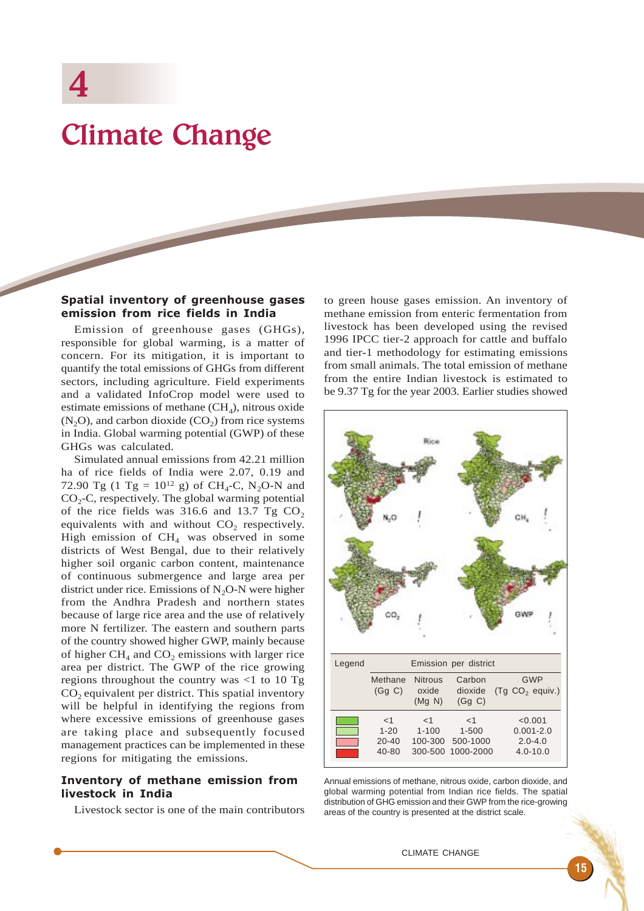# Climate Change

## Spatial inventory of greenhouse gases emission from rice fields in India

Emission of greenhouse gases (GHGs), responsible for global warming, is a matter of concern. For its mitigation, it is important to quantify the total emissions of GHGs from different sectors, including agriculture. Field experiments and a validated InfoCrop model were used to estimate emissions of methane  $(CH<sub>4</sub>)$ , nitrous oxide  $(N<sub>2</sub>O)$ , and carbon dioxide  $(CO<sub>2</sub>)$  from rice systems in India. Global warming potential (GWP) of these GHGs was calculated.

Simulated annual emissions from 42.21 million ha of rice fields of India were 2.07, 0.19 and 72.90 Tg (1 Tg =  $10^{12}$  g) of CH<sub>4</sub>-C, N<sub>2</sub>O-N and  $CO<sub>2</sub>-C$ , respectively. The global warming potential of the rice fields was  $316.6$  and  $13.7$  Tg CO<sub>2</sub> equivalents with and without  $CO<sub>2</sub>$  respectively. High emission of  $CH<sub>4</sub>$  was observed in some districts of West Bengal, due to their relatively higher soil organic carbon content, maintenance of continuous submergence and large area per district under rice. Emissions of  $N_2O-N$  were higher from the Andhra Pradesh and northern states because of large rice area and the use of relatively more N fertilizer. The eastern and southern parts of the country showed higher GWP, mainly because of higher  $CH_4$  and  $CO_2$  emissions with larger rice area per district. The GWP of the rice growing regions throughout the country was  $\langle$ 1 to 10 Tg  $CO<sub>2</sub>$  equivalent per district. This spatial inventory will be helpful in identifying the regions from where excessive emissions of greenhouse gases are taking place and subsequently focused management practices can be implemented in these regions for mitigating the emissions.

#### Inventory of methane emission from livestock in India

Livestock sector is one of the main contributors

to green house gases emission. An inventory of methane emission from enteric fermentation from livestock has been developed using the revised 1996 IPCC tier-2 approach for cattle and buffalo and tier-1 methodology for estimating emissions from small animals. The total emission of methane from the entire Indian livestock is estimated to be 9.37 Tg for the year 2003. Earlier studies showed



Annual emissions of methane, nitrous oxide, carbon dioxide, and global warming potential from Indian rice fields. The spatial distribution of GHG emission and their GWP from the rice-growing areas of the country is presented at the district scale.

#### CLIMATE CHANGE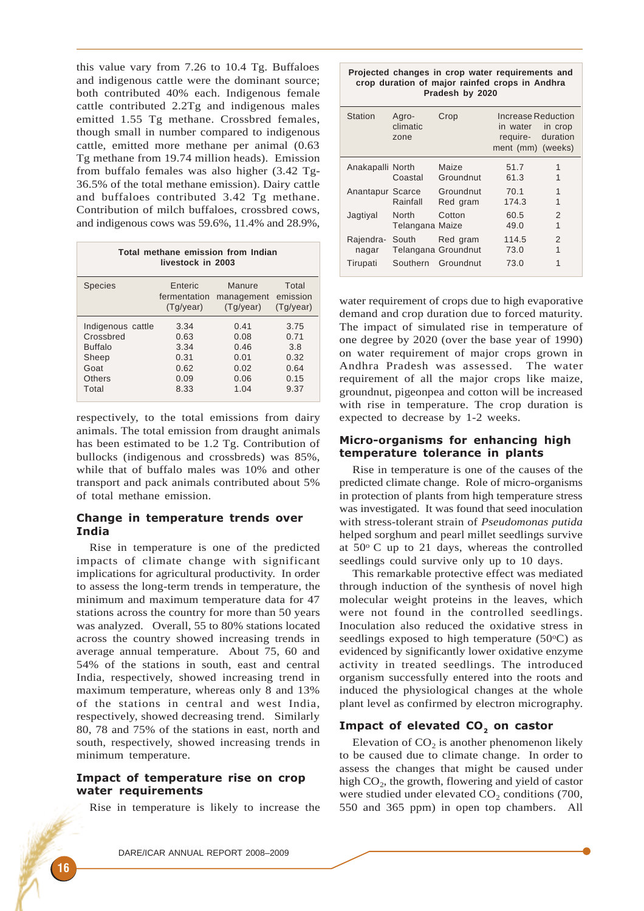this value vary from 7.26 to 10.4 Tg. Buffaloes and indigenous cattle were the dominant source; both contributed 40% each. Indigenous female cattle contributed 2.2Tg and indigenous males emitted 1.55 Tg methane. Crossbred females, though small in number compared to indigenous cattle, emitted more methane per animal (0.63 Tg methane from 19.74 million heads). Emission from buffalo females was also higher (3.42 Tg-36.5% of the total methane emission). Dairy cattle and buffaloes contributed 3.42 Tg methane. Contribution of milch buffaloes, crossbred cows, and indigenous cows was 59.6%, 11.4% and 28.9%,

| Total methane emission from Indian<br>livestock in 2003 |              |            |           |  |  |  |
|---------------------------------------------------------|--------------|------------|-----------|--|--|--|
| <b>Species</b>                                          | Enteric      | Manure     | Total     |  |  |  |
|                                                         | fermentation | management | emission  |  |  |  |
|                                                         | (Tg/year)    | (Tg/year)  | (Tg/year) |  |  |  |
| Indigenous cattle                                       | 3.34         | 0.41       | 3.75      |  |  |  |
| Crossbred                                               | 0.63         | 0.08       | 0.71      |  |  |  |
| <b>Buffalo</b>                                          | 3.34         | 0.46       | 3.8       |  |  |  |
| Sheep                                                   | 0.31         | 0.01       | 0.32      |  |  |  |
| Goat                                                    | 0.62         | 0.02       | 0.64      |  |  |  |
| Others                                                  | 0.09         | 0.06       | 0.15      |  |  |  |
| Total                                                   | 8.33         | 1.04       | 9.37      |  |  |  |

respectively, to the total emissions from dairy animals. The total emission from draught animals has been estimated to be 1.2 Tg. Contribution of bullocks (indigenous and crossbreds) was 85%, while that of buffalo males was 10% and other transport and pack animals contributed about 5% of total methane emission.

# Change in temperature trends over India

Rise in temperature is one of the predicted impacts of climate change with significant implications for agricultural productivity. In order to assess the long-term trends in temperature, the minimum and maximum temperature data for 47 stations across the country for more than 50 years was analyzed. Overall, 55 to 80% stations located across the country showed increasing trends in average annual temperature. About 75, 60 and 54% of the stations in south, east and central India, respectively, showed increasing trend in maximum temperature, whereas only 8 and 13% of the stations in central and west India, respectively, showed decreasing trend. Similarly 80, 78 and 75% of the stations in east, north and south, respectively, showed increasing trends in minimum temperature.

# Impact of temperature rise on crop water requirements

Rise in temperature is likely to increase the

| crop duration of major rainfed crops in Andhra<br>Pradesh by 2020 |                                                 |                            |                                                                                  |        |  |
|-------------------------------------------------------------------|-------------------------------------------------|----------------------------|----------------------------------------------------------------------------------|--------|--|
| <b>Station</b>                                                    | Agro-<br>climatic<br>zone                       | Crop                       | Increase Reduction<br>in water in crop<br>require- duration<br>ment (mm) (weeks) |        |  |
| Anakapalli North                                                  |                                                 | Maize<br>Coastal Groundnut | 51.7<br>61.3                                                                     | 1<br>1 |  |
|                                                                   | Anantapur Scarce Groundnut<br>Rainfall          | Red gram                   | 70.1<br>174.3                                                                    | 1<br>1 |  |
| Jagtiyal                                                          | North<br>Telangana Maize                        | Cotton                     | 60.5<br>49.0                                                                     | 2<br>1 |  |
| nagar                                                             | Rajendra- South Red gram<br>Telangana Groundnut |                            | 114.5<br>73.0                                                                    | 2<br>1 |  |
| Tirupati                                                          |                                                 | Southern Groundnut         | 73.0                                                                             | 1      |  |

**Projected changes in crop water requirements and**

water requirement of crops due to high evaporative demand and crop duration due to forced maturity. The impact of simulated rise in temperature of one degree by 2020 (over the base year of 1990) on water requirement of major crops grown in Andhra Pradesh was assessed. The water requirement of all the major crops like maize, groundnut, pigeonpea and cotton will be increased with rise in temperature. The crop duration is expected to decrease by 1-2 weeks.

# Micro-organisms for enhancing high temperature tolerance in plants

Rise in temperature is one of the causes of the predicted climate change. Role of micro-organisms in protection of plants from high temperature stress was investigated. It was found that seed inoculation with stress-tolerant strain of *Pseudomonas putida* helped sorghum and pearl millet seedlings survive at  $50^{\circ}$  C up to 21 days, whereas the controlled seedlings could survive only up to 10 days.

This remarkable protective effect was mediated through induction of the synthesis of novel high molecular weight proteins in the leaves, which were not found in the controlled seedlings. Inoculation also reduced the oxidative stress in seedlings exposed to high temperature  $(50^{\circ}C)$  as evidenced by significantly lower oxidative enzyme activity in treated seedlings. The introduced organism successfully entered into the roots and induced the physiological changes at the whole plant level as confirmed by electron micrography.

# Impact of elevated CO<sub>2</sub> on castor

Elevation of  $CO<sub>2</sub>$  is another phenomenon likely to be caused due to climate change. In order to assess the changes that might be caused under high  $CO<sub>2</sub>$ , the growth, flowering and yield of castor were studied under elevated  $CO<sub>2</sub>$  conditions (700, 550 and 365 ppm) in open top chambers. All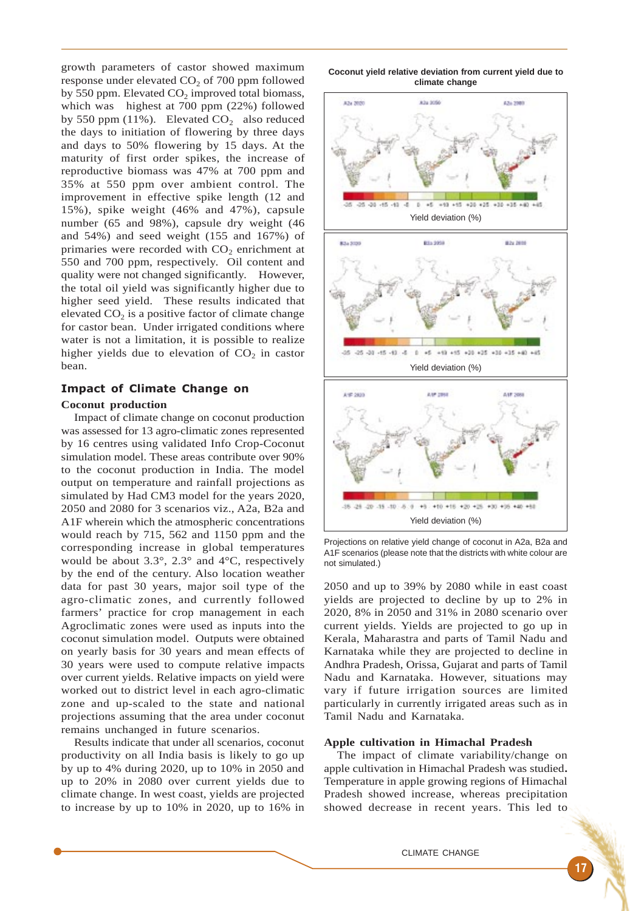growth parameters of castor showed maximum response under elevated  $CO<sub>2</sub>$  of 700 ppm followed by 550 ppm. Elevated  $CO<sub>2</sub>$  improved total biomass, which was highest at 700 ppm (22%) followed by 550 ppm (11%). Elevated  $CO<sub>2</sub>$  also reduced the days to initiation of flowering by three days and days to 50% flowering by 15 days. At the maturity of first order spikes, the increase of reproductive biomass was 47% at 700 ppm and 35% at 550 ppm over ambient control. The improvement in effective spike length (12 and 15%), spike weight (46% and 47%), capsule number (65 and 98%), capsule dry weight (46 and 54%) and seed weight (155 and 167%) of primaries were recorded with  $CO<sub>2</sub>$  enrichment at 550 and 700 ppm, respectively. Oil content and quality were not changed significantly. However, the total oil yield was significantly higher due to higher seed yield. These results indicated that elevated  $CO<sub>2</sub>$  is a positive factor of climate change for castor bean. Under irrigated conditions where water is not a limitation, it is possible to realize higher yields due to elevation of  $CO<sub>2</sub>$  in castor bean.

## Impact of Climate Change on

#### **Coconut production**

Impact of climate change on coconut production was assessed for 13 agro-climatic zones represented by 16 centres using validated Info Crop-Coconut simulation model. These areas contribute over 90% to the coconut production in India. The model output on temperature and rainfall projections as simulated by Had CM3 model for the years 2020, 2050 and 2080 for 3 scenarios viz., A2a, B2a and A1F wherein which the atmospheric concentrations would reach by 715, 562 and 1150 ppm and the corresponding increase in global temperatures would be about 3.3°, 2.3° and 4°C, respectively by the end of the century. Also location weather data for past 30 years, major soil type of the agro-climatic zones, and currently followed farmers' practice for crop management in each Agroclimatic zones were used as inputs into the coconut simulation model. Outputs were obtained on yearly basis for 30 years and mean effects of 30 years were used to compute relative impacts over current yields. Relative impacts on yield were worked out to district level in each agro-climatic zone and up-scaled to the state and national projections assuming that the area under coconut remains unchanged in future scenarios.

Results indicate that under all scenarios, coconut productivity on all India basis is likely to go up by up to 4% during 2020, up to 10% in 2050 and up to 20% in 2080 over current yields due to climate change. In west coast, yields are projected to increase by up to 10% in 2020, up to 16% in





Projections on relative yield change of coconut in A2a, B2a and A1F scenarios (please note that the districts with white colour are not simulated.)

2050 and up to 39% by 2080 while in east coast yields are projected to decline by up to 2% in 2020, 8% in 2050 and 31% in 2080 scenario over current yields. Yields are projected to go up in Kerala, Maharastra and parts of Tamil Nadu and Karnataka while they are projected to decline in Andhra Pradesh, Orissa, Gujarat and parts of Tamil Nadu and Karnataka. However, situations may vary if future irrigation sources are limited particularly in currently irrigated areas such as in Tamil Nadu and Karnataka.

#### **Apple cultivation in Himachal Pradesh**

The impact of climate variability/change on apple cultivation in Himachal Pradesh was studied**.** Temperature in apple growing regions of Himachal Pradesh showed increase, whereas precipitation showed decrease in recent years. This led to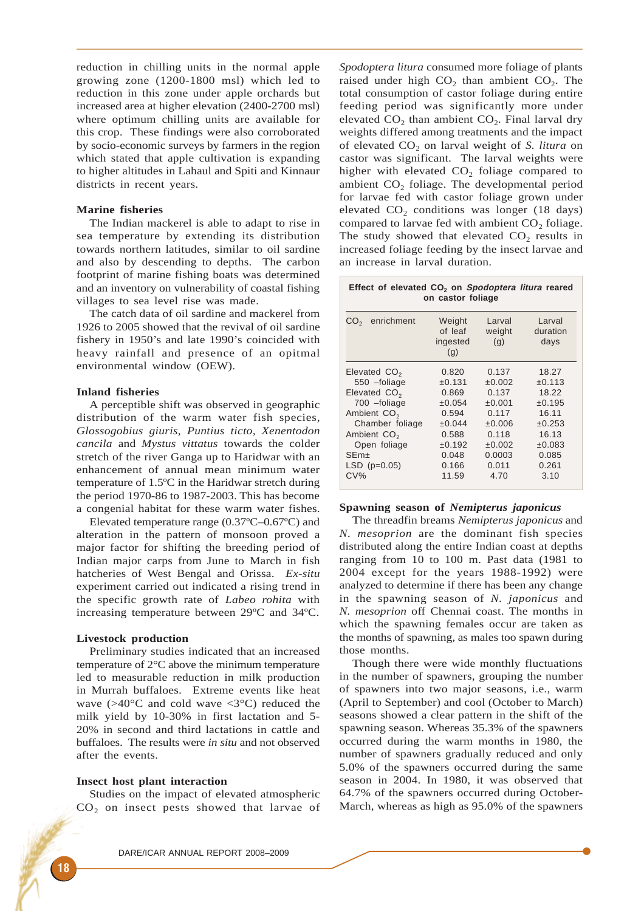reduction in chilling units in the normal apple growing zone (1200-1800 msl) which led to reduction in this zone under apple orchards but increased area at higher elevation (2400-2700 msl) where optimum chilling units are available for this crop. These findings were also corroborated by socio-economic surveys by farmers in the region which stated that apple cultivation is expanding to higher altitudes in Lahaul and Spiti and Kinnaur districts in recent years.

### **Marine fisheries**

The Indian mackerel is able to adapt to rise in sea temperature by extending its distribution towards northern latitudes, similar to oil sardine and also by descending to depths. The carbon footprint of marine fishing boats was determined and an inventory on vulnerability of coastal fishing villages to sea level rise was made.

The catch data of oil sardine and mackerel from 1926 to 2005 showed that the revival of oil sardine fishery in 1950's and late 1990's coincided with heavy rainfall and presence of an opitmal environmental window (OEW).

#### **Inland fisheries**

A perceptible shift was observed in geographic distribution of the warm water fish species, *Glossogobius giuris, Puntius ticto, Xenentodon cancila* and *Mystus vittatus* towards the colder stretch of the river Ganga up to Haridwar with an enhancement of annual mean minimum water temperature of 1.5ºC in the Haridwar stretch during the period 1970-86 to 1987-2003. This has become a congenial habitat for these warm water fishes.

Elevated temperature range (0.37ºC–0.67ºC) and alteration in the pattern of monsoon proved a major factor for shifting the breeding period of Indian major carps from June to March in fish hatcheries of West Bengal and Orissa. *Ex-situ* experiment carried out indicated a rising trend in the specific growth rate of *Labeo rohita* with increasing temperature between 29ºC and 34ºC.

## **Livestock production**

Preliminary studies indicated that an increased temperature of 2°C above the minimum temperature led to measurable reduction in milk production in Murrah buffaloes. Extreme events like heat wave  $(>40^{\circ}$ C and cold wave  $<3^{\circ}$ C) reduced the milk yield by 10-30% in first lactation and 5- 20% in second and third lactations in cattle and buffaloes. The results were *in situ* and not observed after the events.

#### **Insect host plant interaction**

Studies on the impact of elevated atmospheric  $CO<sub>2</sub>$  on insect pests showed that larvae of *Spodoptera litura* consumed more foliage of plants raised under high  $CO<sub>2</sub>$ , than ambient  $CO<sub>2</sub>$ . The total consumption of castor foliage during entire feeding period was significantly more under elevated  $CO<sub>2</sub>$  than ambient  $CO<sub>2</sub>$ . Final larval dry weights differed among treatments and the impact of elevated CO<sub>2</sub> on larval weight of *S. litura* on castor was significant. The larval weights were higher with elevated  $CO<sub>2</sub>$  foliage compared to ambient  $CO<sub>2</sub>$  foliage. The developmental period for larvae fed with castor foliage grown under elevated  $CO<sub>2</sub>$  conditions was longer (18 days) compared to larvae fed with ambient  $CO<sub>2</sub>$  foliage. The study showed that elevated  $CO<sub>2</sub>$  results in increased foliage feeding by the insect larvae and an increase in larval duration.

| Effect of elevated CO <sub>2</sub> on Spodoptera litura reared<br>on castor foliage                                                                                                                    |                                                                                                     |                                                                                                          |                                                                                                    |  |  |  |
|--------------------------------------------------------------------------------------------------------------------------------------------------------------------------------------------------------|-----------------------------------------------------------------------------------------------------|----------------------------------------------------------------------------------------------------------|----------------------------------------------------------------------------------------------------|--|--|--|
| CO <sub>2</sub> enrichment                                                                                                                                                                             | Weight<br>of leaf<br>ingested<br>(g)                                                                | Larval<br>weight<br>(q)                                                                                  | Larval<br>duration<br>days                                                                         |  |  |  |
| Elevated CO <sub>2</sub><br>550 - foliage<br>Elevated CO <sub>2</sub><br>700 -foliage<br>Ambient CO <sub>2</sub><br>Chamber foliage<br>Ambient $CO2$<br>Open foliage<br>$SEm+$<br>$LSD(p=0.05)$<br>CV% | 0.820<br>±0.131<br>0.869<br>±0.054<br>0.594<br>±0.044<br>0.588<br>±0.192<br>0.048<br>0.166<br>11.59 | 0.137<br>±0.002<br>0.137<br>±0.001<br>0.117<br>±0.006<br>0.118<br>$\pm 0.002$<br>0.0003<br>0.011<br>4.70 | 18.27<br>±0.113<br>18.22<br>±0.195<br>16.11<br>±0.253<br>16.13<br>±0.083<br>0.085<br>0.261<br>3.10 |  |  |  |

#### **Spawning season of** *Nemipterus japonicus*

The threadfin breams *Nemipterus japonicus* and *N. mesoprion* are the dominant fish species distributed along the entire Indian coast at depths ranging from 10 to 100 m. Past data (1981 to 2004 except for the years 1988-1992) were analyzed to determine if there has been any change in the spawning season of *N. japonicus* and *N. mesoprion* off Chennai coast. The months in which the spawning females occur are taken as the months of spawning, as males too spawn during those months.

Though there were wide monthly fluctuations in the number of spawners, grouping the number of spawners into two major seasons, i.e., warm (April to September) and cool (October to March) seasons showed a clear pattern in the shift of the spawning season. Whereas 35.3% of the spawners occurred during the warm months in 1980, the number of spawners gradually reduced and only 5.0% of the spawners occurred during the same season in 2004. In 1980, it was observed that 64.7% of the spawners occurred during October-March, whereas as high as 95.0% of the spawners